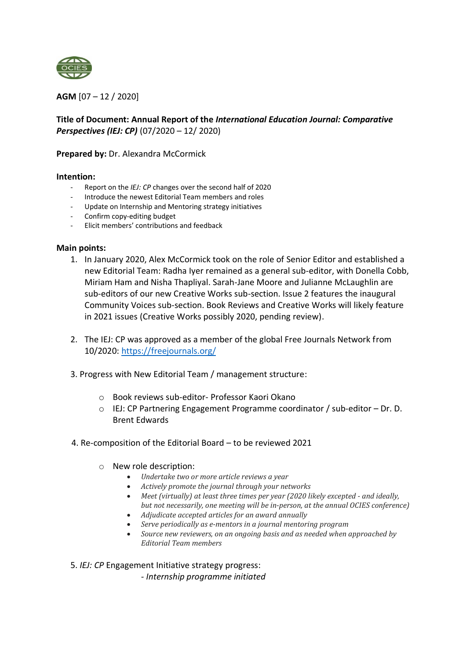

**AGM** [07 – 12 / 2020]

## **Title of Document: Annual Report of the** *International Education Journal: Comparative Perspectives (IEJ: CP)* (07/2020 – 12/ 2020)

**Prepared by:** Dr. Alexandra McCormick

## **Intention:**

- Report on the *IEJ: CP* changes over the second half of 2020
- Introduce the newest Editorial Team members and roles
- Update on Internship and Mentoring strategy initiatives
- Confirm copy-editing budget
- Elicit members' contributions and feedback

## **Main points:**

- 1. In January 2020, Alex McCormick took on the role of Senior Editor and established a new Editorial Team: Radha Iyer remained as a general sub-editor, with Donella Cobb, Miriam Ham and Nisha Thapliyal. Sarah-Jane Moore and Julianne McLaughlin are sub-editors of our new Creative Works sub-section. Issue 2 features the inaugural Community Voices sub-section. Book Reviews and Creative Works will likely feature in 2021 issues (Creative Works possibly 2020, pending review).
- 2. The IEJ: CP was approved as a member of the global Free Journals Network from 10/2020:<https://freejournals.org/>
- 3. Progress with New Editorial Team / management structure:
	- o Book reviews sub-editor- Professor Kaori Okano
	- o IEJ: CP Partnering Engagement Programme coordinator / sub-editor Dr. D. Brent Edwards
- 4. Re-composition of the Editorial Board to be reviewed 2021
	- o New role description:
		- *Undertake two or more article reviews a year*
		- *Actively promote the journal through your networks*
		- *Meet (virtually) at least three times per year (2020 likely excepted - and ideally, but not necessarily, one meeting will be in-person, at the annual OCIES conference)*
		- *Adjudicate accepted articles for an award annually*
		- *Serve periodically as e-mentors in a journal mentoring program*
		- *Source new reviewers, on an ongoing basis and as needed when approached by Editorial Team members*

5. *IEJ: CP* Engagement Initiative strategy progress: *- Internship programme initiated*